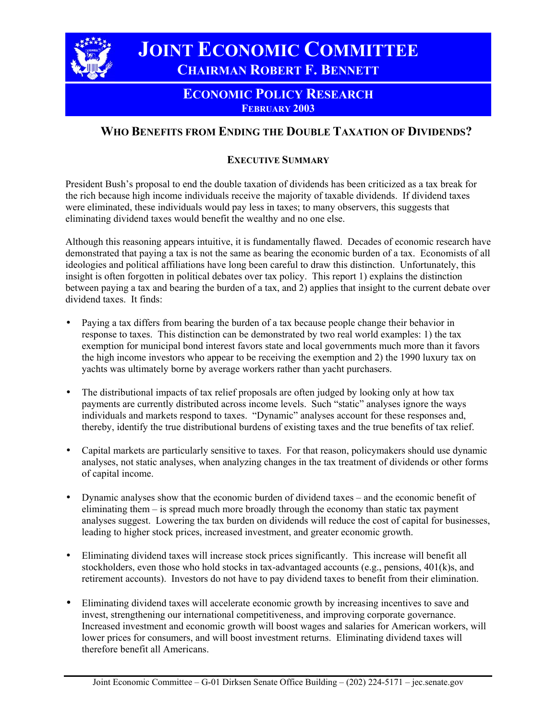

 **JOINT ECONOMIC COMMITTEE CHAIRMAN ROBERT F. BENNETT**

## **ECONOMIC POLICY RESEARCH FEBRUARY 2003**

# **WHO BENEFITS FROM ENDING THE DOUBLE TAXATION OF DIVIDENDS?**

## **EXECUTIVE SUMMARY**

President Bush's proposal to end the double taxation of dividends has been criticized as a tax break for the rich because high income individuals receive the majority of taxable dividends. If dividend taxes were eliminated, these individuals would pay less in taxes; to many observers, this suggests that eliminating dividend taxes would benefit the wealthy and no one else.

Although this reasoning appears intuitive, it is fundamentally flawed. Decades of economic research have demonstrated that paying a tax is not the same as bearing the economic burden of a tax. Economists of all ideologies and political affiliations have long been careful to draw this distinction. Unfortunately, this insight is often forgotten in political debates over tax policy. This report 1) explains the distinction between paying a tax and bearing the burden of a tax, and 2) applies that insight to the current debate over dividend taxes. It finds:

- Paying a tax differs from bearing the burden of a tax because people change their behavior in response to taxes. This distinction can be demonstrated by two real world examples: 1) the tax exemption for municipal bond interest favors state and local governments much more than it favors the high income investors who appear to be receiving the exemption and 2) the 1990 luxury tax on yachts was ultimately borne by average workers rather than yacht purchasers.
- The distributional impacts of tax relief proposals are often judged by looking only at how tax payments are currently distributed across income levels. Such "static" analyses ignore the ways individuals and markets respond to taxes. "Dynamic" analyses account for these responses and, thereby, identify the true distributional burdens of existing taxes and the true benefits of tax relief.
- Capital markets are particularly sensitive to taxes. For that reason, policymakers should use dynamic analyses, not static analyses, when analyzing changes in the tax treatment of dividends or other forms of capital income.
- Dynamic analyses show that the economic burden of dividend taxes and the economic benefit of eliminating them – is spread much more broadly through the economy than static tax payment analyses suggest. Lowering the tax burden on dividends will reduce the cost of capital for businesses, leading to higher stock prices, increased investment, and greater economic growth.
- Eliminating dividend taxes will increase stock prices significantly. This increase will benefit all stockholders, even those who hold stocks in tax-advantaged accounts (e.g., pensions, 401(k)s, and retirement accounts). Investors do not have to pay dividend taxes to benefit from their elimination.
- Eliminating dividend taxes will accelerate economic growth by increasing incentives to save and invest, strengthening our international competitiveness, and improving corporate governance. Increased investment and economic growth will boost wages and salaries for American workers, will lower prices for consumers, and will boost investment returns. Eliminating dividend taxes will therefore benefit all Americans.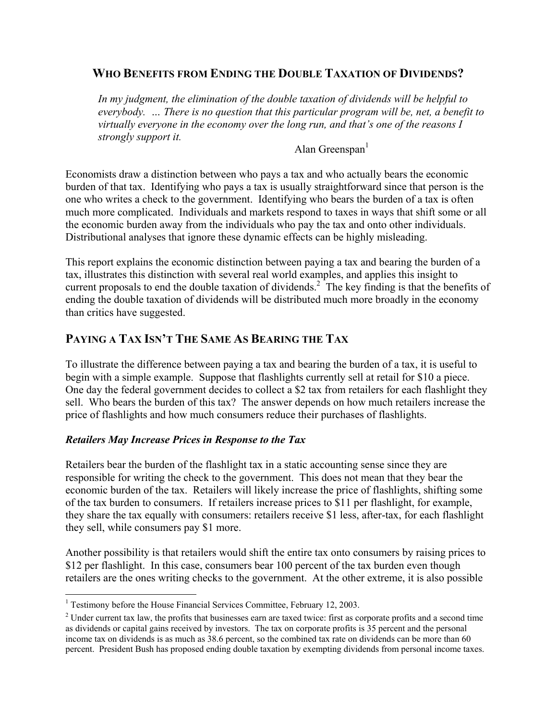## **WHO BENEFITS FROM ENDING THE DOUBLE TAXATION OF DIVIDENDS?**

*In my judgment, the elimination of the double taxation of dividends will be helpful to everybody. … There is no question that this particular program will be, net, a benefit to virtually everyone in the economy over the long run, and that's one of the reasons I strongly support it.*

Alan Greenspan $<sup>1</sup>$ </sup>

Economists draw a distinction between who pays a tax and who actually bears the economic burden of that tax. Identifying who pays a tax is usually straightforward since that person is the one who writes a check to the government. Identifying who bears the burden of a tax is often much more complicated. Individuals and markets respond to taxes in ways that shift some or all the economic burden away from the individuals who pay the tax and onto other individuals. Distributional analyses that ignore these dynamic effects can be highly misleading.

This report explains the economic distinction between paying a tax and bearing the burden of a tax, illustrates this distinction with several real world examples, and applies this insight to current proposals to end the double taxation of dividends.<sup>2</sup> The key finding is that the benefits of ending the double taxation of dividends will be distributed much more broadly in the economy than critics have suggested.

## **PAYING A TAX ISN'T THE SAME AS BEARING THE TAX**

To illustrate the difference between paying a tax and bearing the burden of a tax, it is useful to begin with a simple example. Suppose that flashlights currently sell at retail for \$10 a piece. One day the federal government decides to collect a \$2 tax from retailers for each flashlight they sell. Who bears the burden of this tax? The answer depends on how much retailers increase the price of flashlights and how much consumers reduce their purchases of flashlights.

## *Retailers May Increase Prices in Response to the Tax*

Retailers bear the burden of the flashlight tax in a static accounting sense since they are responsible for writing the check to the government. This does not mean that they bear the economic burden of the tax. Retailers will likely increase the price of flashlights, shifting some of the tax burden to consumers. If retailers increase prices to \$11 per flashlight, for example, they share the tax equally with consumers: retailers receive \$1 less, after-tax, for each flashlight they sell, while consumers pay \$1 more.

Another possibility is that retailers would shift the entire tax onto consumers by raising prices to \$12 per flashlight. In this case, consumers bear 100 percent of the tax burden even though retailers are the ones writing checks to the government. At the other extreme, it is also possible

<sup>1</sup> <sup>1</sup> Testimony before the House Financial Services Committee, February 12, 2003.

 $2$  Under current tax law, the profits that businesses earn are taxed twice: first as corporate profits and a second time as dividends or capital gains received by investors. The tax on corporate profits is 35 percent and the personal income tax on dividends is as much as 38.6 percent, so the combined tax rate on dividends can be more than 60 percent. President Bush has proposed ending double taxation by exempting dividends from personal income taxes.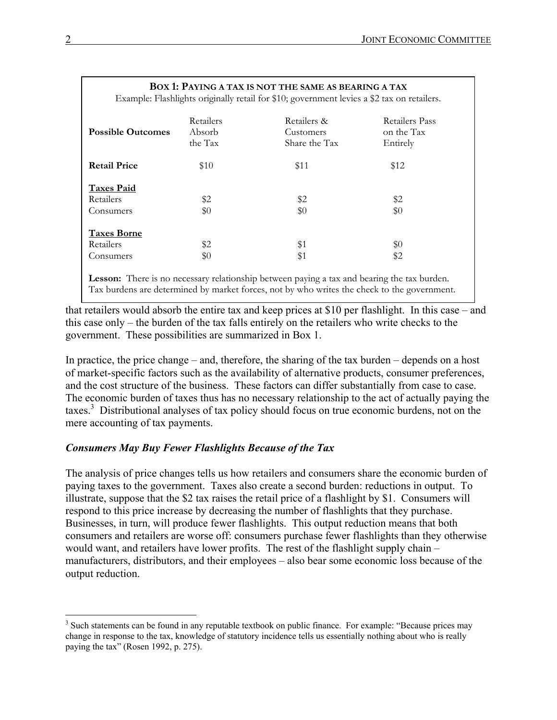|                          | Retailers | Retailers &   | Retailers Pass |
|--------------------------|-----------|---------------|----------------|
| <b>Possible Outcomes</b> | Absorb    | Customers     | on the Tax     |
|                          | the Tax   | Share the Tax | Entirely       |
| <b>Retail Price</b>      | \$10      | \$11          | \$12           |
| <b>Taxes Paid</b>        |           |               |                |
| Retailers                | \$2       | \$2           | \$2            |
| Consumers                | \$0       | \$0           | \$0            |
| <b>Taxes Borne</b>       |           |               |                |
| Retailers                | \$2       | \$1           | \$0            |
| Consumers                | \$0       | \$1           | \$2            |

**BOX 1: PAYING A TAX IS NOT THE SAME AS BEARING A TAX**

Lesson: There is no necessary relationship between paying a tax and bearing the tax burden. Tax burdens are determined by market forces, not by who writes the check to the government.

that retailers would absorb the entire tax and keep prices at \$10 per flashlight. In this case – and this case only – the burden of the tax falls entirely on the retailers who write checks to the government. These possibilities are summarized in Box 1.

In practice, the price change – and, therefore, the sharing of the tax burden – depends on a host of market-specific factors such as the availability of alternative products, consumer preferences, and the cost structure of the business. These factors can differ substantially from case to case. The economic burden of taxes thus has no necessary relationship to the act of actually paying the taxes.3 Distributional analyses of tax policy should focus on true economic burdens, not on the mere accounting of tax payments.

## *Consumers May Buy Fewer Flashlights Because of the Tax*

The analysis of price changes tells us how retailers and consumers share the economic burden of paying taxes to the government. Taxes also create a second burden: reductions in output. To illustrate, suppose that the \$2 tax raises the retail price of a flashlight by \$1. Consumers will respond to this price increase by decreasing the number of flashlights that they purchase. Businesses, in turn, will produce fewer flashlights. This output reduction means that both consumers and retailers are worse off: consumers purchase fewer flashlights than they otherwise would want, and retailers have lower profits. The rest of the flashlight supply chain – manufacturers, distributors, and their employees – also bear some economic loss because of the output reduction.

<sup>&</sup>lt;sup>3</sup> Such statements can be found in any reputable textbook on public finance. For example: "Because prices may change in response to the tax, knowledge of statutory incidence tells us essentially nothing about who is really paying the tax" (Rosen 1992, p. 275).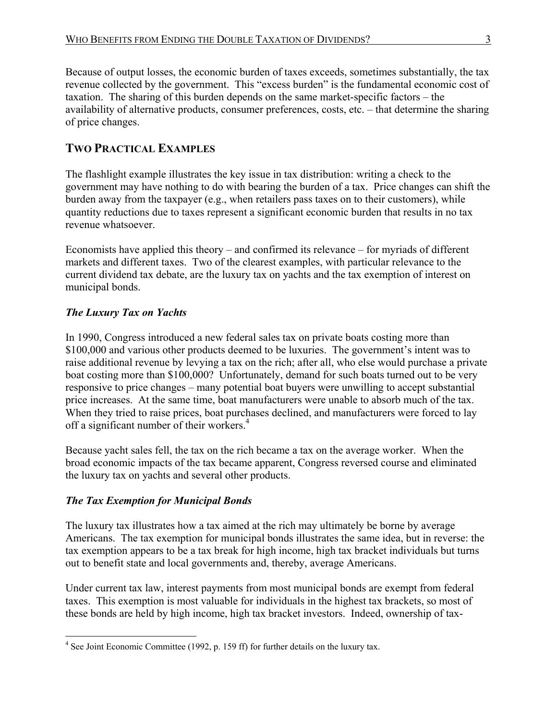Because of output losses, the economic burden of taxes exceeds, sometimes substantially, the tax revenue collected by the government. This "excess burden" is the fundamental economic cost of taxation. The sharing of this burden depends on the same market-specific factors – the availability of alternative products, consumer preferences, costs, etc. – that determine the sharing of price changes.

# **TWO PRACTICAL EXAMPLES**

The flashlight example illustrates the key issue in tax distribution: writing a check to the government may have nothing to do with bearing the burden of a tax. Price changes can shift the burden away from the taxpayer (e.g., when retailers pass taxes on to their customers), while quantity reductions due to taxes represent a significant economic burden that results in no tax revenue whatsoever.

Economists have applied this theory – and confirmed its relevance – for myriads of different markets and different taxes. Two of the clearest examples, with particular relevance to the current dividend tax debate, are the luxury tax on yachts and the tax exemption of interest on municipal bonds.

## *The Luxury Tax on Yachts*

In 1990, Congress introduced a new federal sales tax on private boats costing more than \$100,000 and various other products deemed to be luxuries. The government's intent was to raise additional revenue by levying a tax on the rich; after all, who else would purchase a private boat costing more than \$100,000? Unfortunately, demand for such boats turned out to be very responsive to price changes – many potential boat buyers were unwilling to accept substantial price increases. At the same time, boat manufacturers were unable to absorb much of the tax. When they tried to raise prices, boat purchases declined, and manufacturers were forced to lay off a significant number of their workers.4

Because yacht sales fell, the tax on the rich became a tax on the average worker. When the broad economic impacts of the tax became apparent, Congress reversed course and eliminated the luxury tax on yachts and several other products.

## *The Tax Exemption for Municipal Bonds*

The luxury tax illustrates how a tax aimed at the rich may ultimately be borne by average Americans. The tax exemption for municipal bonds illustrates the same idea, but in reverse: the tax exemption appears to be a tax break for high income, high tax bracket individuals but turns out to benefit state and local governments and, thereby, average Americans.

Under current tax law, interest payments from most municipal bonds are exempt from federal taxes. This exemption is most valuable for individuals in the highest tax brackets, so most of these bonds are held by high income, high tax bracket investors. Indeed, ownership of tax-

<sup>&</sup>lt;sup>4</sup> See Joint Economic Committee (1992, p. 159 ff) for further details on the luxury tax.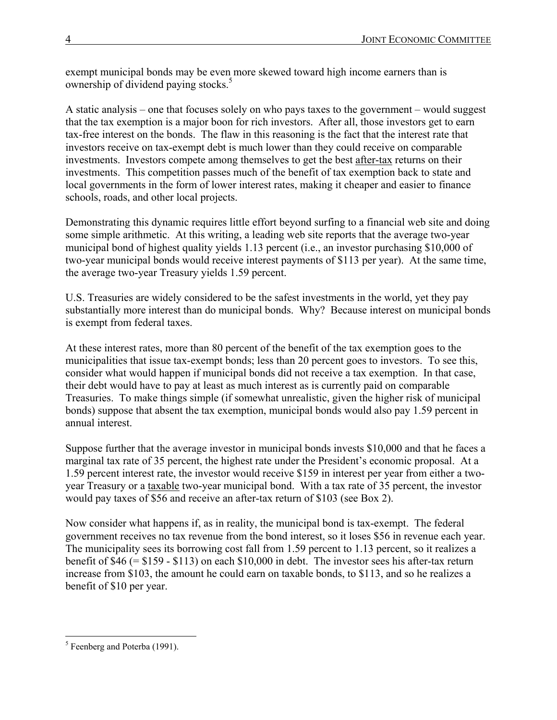exempt municipal bonds may be even more skewed toward high income earners than is ownership of dividend paying stocks.<sup>5</sup>

A static analysis – one that focuses solely on who pays taxes to the government – would suggest that the tax exemption is a major boon for rich investors. After all, those investors get to earn tax-free interest on the bonds. The flaw in this reasoning is the fact that the interest rate that investors receive on tax-exempt debt is much lower than they could receive on comparable investments. Investors compete among themselves to get the best after-tax returns on their investments. This competition passes much of the benefit of tax exemption back to state and local governments in the form of lower interest rates, making it cheaper and easier to finance schools, roads, and other local projects.

Demonstrating this dynamic requires little effort beyond surfing to a financial web site and doing some simple arithmetic. At this writing, a leading web site reports that the average two-year municipal bond of highest quality yields 1.13 percent (i.e., an investor purchasing \$10,000 of two-year municipal bonds would receive interest payments of \$113 per year). At the same time, the average two-year Treasury yields 1.59 percent.

U.S. Treasuries are widely considered to be the safest investments in the world, yet they pay substantially more interest than do municipal bonds. Why? Because interest on municipal bonds is exempt from federal taxes.

At these interest rates, more than 80 percent of the benefit of the tax exemption goes to the municipalities that issue tax-exempt bonds; less than 20 percent goes to investors. To see this, consider what would happen if municipal bonds did not receive a tax exemption. In that case, their debt would have to pay at least as much interest as is currently paid on comparable Treasuries. To make things simple (if somewhat unrealistic, given the higher risk of municipal bonds) suppose that absent the tax exemption, municipal bonds would also pay 1.59 percent in annual interest.

Suppose further that the average investor in municipal bonds invests \$10,000 and that he faces a marginal tax rate of 35 percent, the highest rate under the President's economic proposal. At a 1.59 percent interest rate, the investor would receive \$159 in interest per year from either a twoyear Treasury or a taxable two-year municipal bond. With a tax rate of 35 percent, the investor would pay taxes of \$56 and receive an after-tax return of \$103 (see Box 2).

Now consider what happens if, as in reality, the municipal bond is tax-exempt. The federal government receives no tax revenue from the bond interest, so it loses \$56 in revenue each year. The municipality sees its borrowing cost fall from 1.59 percent to 1.13 percent, so it realizes a benefit of \$46 (= \$159 - \$113) on each \$10,000 in debt. The investor sees his after-tax return increase from \$103, the amount he could earn on taxable bonds, to \$113, and so he realizes a benefit of \$10 per year.

<sup>&</sup>lt;sup>5</sup> Feenberg and Poterba (1991).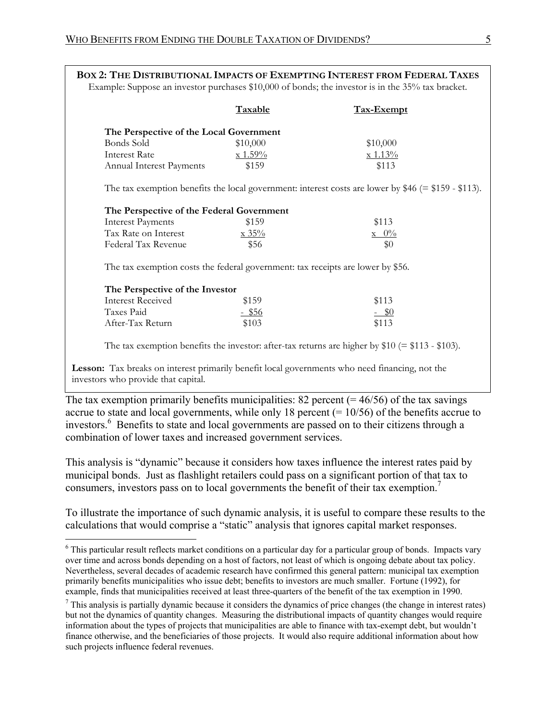|                                                                                 | Taxable                          | <b>Tax-Exempt</b>                                                                                    |
|---------------------------------------------------------------------------------|----------------------------------|------------------------------------------------------------------------------------------------------|
| The Perspective of the Local Government                                         |                                  |                                                                                                      |
| <b>Bonds Sold</b>                                                               | \$10,000                         | \$10,000                                                                                             |
| <b>Interest Rate</b>                                                            | $x 1.59\%$                       | x 1.13%                                                                                              |
| Annual Interest Payments                                                        | \$159                            | \$113                                                                                                |
|                                                                                 |                                  | The tax exemption benefits the local government: interest costs are lower by $$46 (= $159 - $113)$ . |
| The Perspective of the Federal Government                                       |                                  |                                                                                                      |
| <b>Interest Payments</b>                                                        | \$159                            | \$113                                                                                                |
| Tax Rate on Interest                                                            | $\frac{\text{x} 35\%}{\text{x}}$ | $\rm x \, 0\%$                                                                                       |
| Federal Tax Revenue                                                             | \$56                             | \$0                                                                                                  |
| The tax exemption costs the federal government: tax receipts are lower by \$56. |                                  |                                                                                                      |
| The Perspective of the Investor                                                 |                                  |                                                                                                      |
| <b>Interest Received</b>                                                        | \$159                            | \$113                                                                                                |
| Taxes Paid                                                                      | $-$ \$56                         | $-$ \$0                                                                                              |
| After-Tax Return                                                                | \$103                            | \$113                                                                                                |
|                                                                                 |                                  | The tax exemption benefits the investor: after-tax returns are higher by $$10 (= $113 - $103)$ .     |

The tax exemption primarily benefits municipalities: 82 percent  $(= 46/56)$  of the tax savings accrue to state and local governments, while only 18 percent  $(= 10/56)$  of the benefits accrue to investors.<sup>6</sup> Benefits to state and local governments are passed on to their citizens through a combination of lower taxes and increased government services.

This analysis is "dynamic" because it considers how taxes influence the interest rates paid by municipal bonds. Just as flashlight retailers could pass on a significant portion of that tax to consumers, investors pass on to local governments the benefit of their tax exemption.<sup>7</sup>

To illustrate the importance of such dynamic analysis, it is useful to compare these results to the calculations that would comprise a "static" analysis that ignores capital market responses.

<u>.</u>

<sup>&</sup>lt;sup>6</sup> This particular result reflects market conditions on a particular day for a particular group of bonds. Impacts vary over time and across bonds depending on a host of factors, not least of which is ongoing debate about tax policy. Nevertheless, several decades of academic research have confirmed this general pattern: municipal tax exemption primarily benefits municipalities who issue debt; benefits to investors are much smaller. Fortune (1992), for example, finds that municipalities received at least three-quarters of the benefit of the tax exemption in 1990.

 $<sup>7</sup>$  This analysis is partially dynamic because it considers the dynamics of price changes (the change in interest rates)</sup> but not the dynamics of quantity changes. Measuring the distributional impacts of quantity changes would require information about the types of projects that municipalities are able to finance with tax-exempt debt, but wouldn't finance otherwise, and the beneficiaries of those projects. It would also require additional information about how such projects influence federal revenues.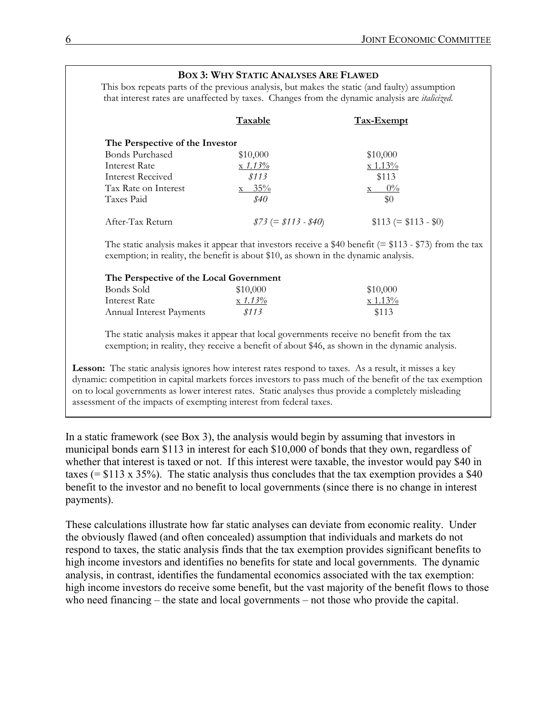|                                 | <b>Taxable</b>                                                                                             | <b>Tax-Exempt</b>    |
|---------------------------------|------------------------------------------------------------------------------------------------------------|----------------------|
| The Perspective of the Investor |                                                                                                            |                      |
| <b>Bonds Purchased</b>          | \$10,000                                                                                                   | \$10,000             |
| <b>Interest Rate</b>            | x 1.13%                                                                                                    | x 1.13%              |
| Interest Received               | \$113                                                                                                      | \$113                |
| Tax Rate on Interest            | $x = 35\%$                                                                                                 | $0\%$                |
| Taxes Paid                      | \$40                                                                                                       | \$0                  |
| After-Tax Return                | $$73 (= $113 - $40)$                                                                                       | $$113 (= $113 - $0)$ |
|                                 | The static analysis makes it appear that investors receive a \$40 benefit ( $=$ \$113 - \$73) from the tax |                      |
|                                 | exemption; in reality, the benefit is about \$10, as shown in the dynamic analysis.                        |                      |

The static analysis makes it appear that local governments receive no benefit from the tax exemption; in reality, they receive a benefit of about \$46, as shown in the dynamic analysis.

Annual Interest Payments *\$113* \$113

Lesson: The static analysis ignores how interest rates respond to taxes. As a result, it misses a key dynamic: competition in capital markets forces investors to pass much of the benefit of the tax exemption on to local governments as lower interest rates. Static analyses thus provide a completely misleading assessment of the impacts of exempting interest from federal taxes.

In a static framework (see Box 3), the analysis would begin by assuming that investors in municipal bonds earn \$113 in interest for each \$10,000 of bonds that they own, regardless of whether that interest is taxed or not. If this interest were taxable, the investor would pay \$40 in taxes (=  $$113 \times 35\%$ ). The static analysis thus concludes that the tax exemption provides a \$40 benefit to the investor and no benefit to local governments (since there is no change in interest payments).

These calculations illustrate how far static analyses can deviate from economic reality. Under the obviously flawed (and often concealed) assumption that individuals and markets do not respond to taxes, the static analysis finds that the tax exemption provides significant benefits to high income investors and identifies no benefits for state and local governments. The dynamic analysis, in contrast, identifies the fundamental economics associated with the tax exemption: high income investors do receive some benefit, but the vast majority of the benefit flows to those who need financing – the state and local governments – not those who provide the capital.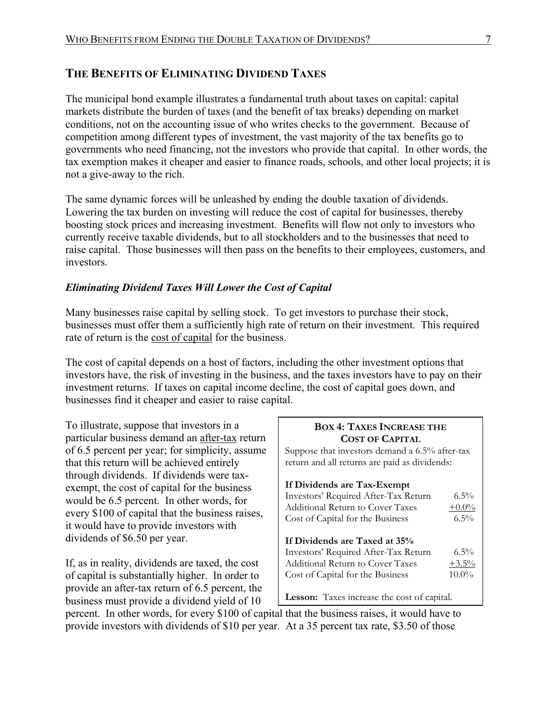## **THE BENEFITS OF ELIMINATING DIVIDEND TAXES**

The municipal bond example illustrates a fundamental truth about taxes on capital: capital markets distribute the burden of taxes (and the benefit of tax breaks) depending on market conditions, not on the accounting issue of who writes checks to the government. Because of competition among different types of investment, the vast majority of the tax benefits go to governments who need financing, not the investors who provide that capital. In other words, the tax exemption makes it cheaper and easier to finance roads, schools, and other local projects; it is not a give-away to the rich.

The same dynamic forces will be unleashed by ending the double taxation of dividends. Lowering the tax burden on investing will reduce the cost of capital for businesses, thereby boosting stock prices and increasing investment. Benefits will flow not only to investors who currently receive taxable dividends, but to all stockholders and to the businesses that need to raise capital. Those businesses will then pass on the benefits to their employees, customers, and investors.

## *Eliminating Dividend Taxes Will Lower the Cost of Capital*

Many businesses raise capital by selling stock. To get investors to purchase their stock, businesses must offer them a sufficiently high rate of return on their investment. This required rate of return is the cost of capital for the business.

The cost of capital depends on a host of factors, including the other investment options that investors have, the risk of investing in the business, and the taxes investors have to pay on their investment returns. If taxes on capital income decline, the cost of capital goes down, and businesses find it cheaper and easier to raise capital.

To illustrate, suppose that investors in a particular business demand an after-tax return of 6.5 percent per year; for simplicity, assume that this return will be achieved entirely through dividends. If dividends were taxexempt, the cost of capital for the business would be 6.5 percent. In other words, for every \$100 of capital that the business raises, it would have to provide investors with dividends of \$6.50 per year.

If, as in reality, dividends are taxed, the cost of capital is substantially higher. In order to provide an after-tax return of 6.5 percent, the business must provide a dividend yield of 10

## **BOX 4: TAXES INCREASE THE COST OF CAPITAL** Suppose that investors demand a 6.5% after-tax return and all returns are paid as dividends: **If Dividends are Tax-Exempt**  Investors' Required After-Tax Return 6.5% Additional Return to Cover Taxes  $+0.0\%$ Cost of Capital for the Business 6.5% **If Dividends are Taxed at 35%**  Investors' Required After-Tax Return 6.5% Additional Return to Cover Taxes  $+3.5\%$ Cost of Capital for the Business 10.0% **Lesson:** Taxes increase the cost of capital.

percent. In other words, for every \$100 of capital that the business raises, it would have to provide investors with dividends of \$10 per year. At a 35 percent tax rate, \$3.50 of those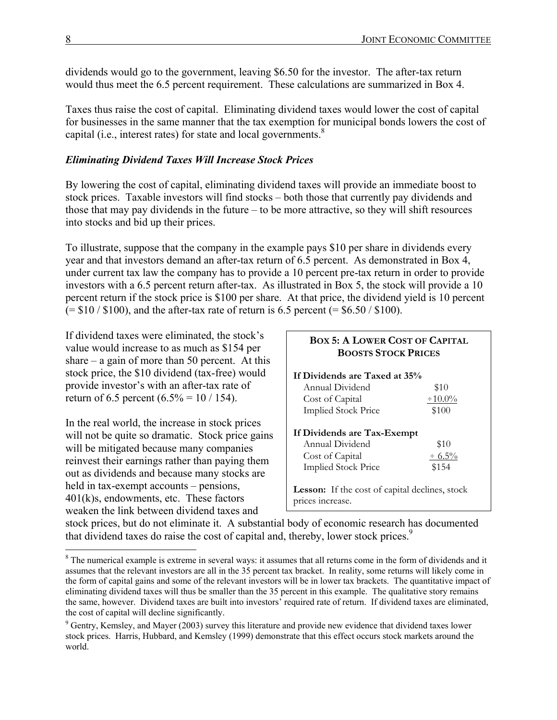dividends would go to the government, leaving \$6.50 for the investor. The after-tax return would thus meet the 6.5 percent requirement. These calculations are summarized in Box 4.

Taxes thus raise the cost of capital. Eliminating dividend taxes would lower the cost of capital for businesses in the same manner that the tax exemption for municipal bonds lowers the cost of capital (i.e., interest rates) for state and local governments. $8$ 

## *Eliminating Dividend Taxes Will Increase Stock Prices*

By lowering the cost of capital, eliminating dividend taxes will provide an immediate boost to stock prices. Taxable investors will find stocks – both those that currently pay dividends and those that may pay dividends in the future – to be more attractive, so they will shift resources into stocks and bid up their prices.

To illustrate, suppose that the company in the example pays \$10 per share in dividends every year and that investors demand an after-tax return of 6.5 percent. As demonstrated in Box 4, under current tax law the company has to provide a 10 percent pre-tax return in order to provide investors with a 6.5 percent return after-tax. As illustrated in Box 5, the stock will provide a 10 percent return if the stock price is \$100 per share. At that price, the dividend yield is 10 percent  $(= $10 / $100)$ , and the after-tax rate of return is 6.5 percent  $(= $6.50 / $100)$ .

If dividend taxes were eliminated, the stock's value would increase to as much as \$154 per share – a gain of more than 50 percent. At this stock price, the \$10 dividend (tax-free) would provide investor's with an after-tax rate of return of 6.5 percent  $(6.5\% = 10 / 154)$ .

In the real world, the increase in stock prices will not be quite so dramatic. Stock price gains will be mitigated because many companies reinvest their earnings rather than paying them out as dividends and because many stocks are held in tax-exempt accounts – pensions, 401(k)s, endowments, etc. These factors weaken the link between dividend taxes and

| <b>BOX 5: A LOWER COST OF CAPITAL</b><br><b>BOOSTS STOCK PRICES</b> |              |  |  |
|---------------------------------------------------------------------|--------------|--|--|
| If Dividends are Taxed at 35%                                       |              |  |  |
| Annual Dividend                                                     | \$10         |  |  |
| Cost of Capital                                                     | $\pm 10.0\%$ |  |  |
| <b>Implied Stock Price</b>                                          | \$100        |  |  |
| If Dividends are Tax-Exempt                                         |              |  |  |
| Annual Dividend                                                     | \$10         |  |  |
| Cost of Capital                                                     | $\div 6.5\%$ |  |  |
| <b>Implied Stock Price</b>                                          | \$154        |  |  |
| <b>Lesson:</b> If the cost of capital declines, stock               |              |  |  |
| prices increase.                                                    |              |  |  |

stock prices, but do not eliminate it. A substantial body of economic research has documented that dividend taxes do raise the cost of capital and, thereby, lower stock prices.<sup>9</sup>

<sup>&</sup>lt;sup>8</sup> The numerical example is extreme in several ways: it assumes that all returns come in the form of dividends and it assumes that the relevant investors are all in the 35 percent tax bracket. In reality, some returns will likely come in the form of capital gains and some of the relevant investors will be in lower tax brackets. The quantitative impact of eliminating dividend taxes will thus be smaller than the 35 percent in this example. The qualitative story remains the same, however. Dividend taxes are built into investors' required rate of return. If dividend taxes are eliminated, the cost of capital will decline significantly.

<sup>&</sup>lt;sup>9</sup> Gentry, Kemsley, and Mayer (2003) survey this literature and provide new evidence that dividend taxes lower stock prices. Harris, Hubbard, and Kemsley (1999) demonstrate that this effect occurs stock markets around the world.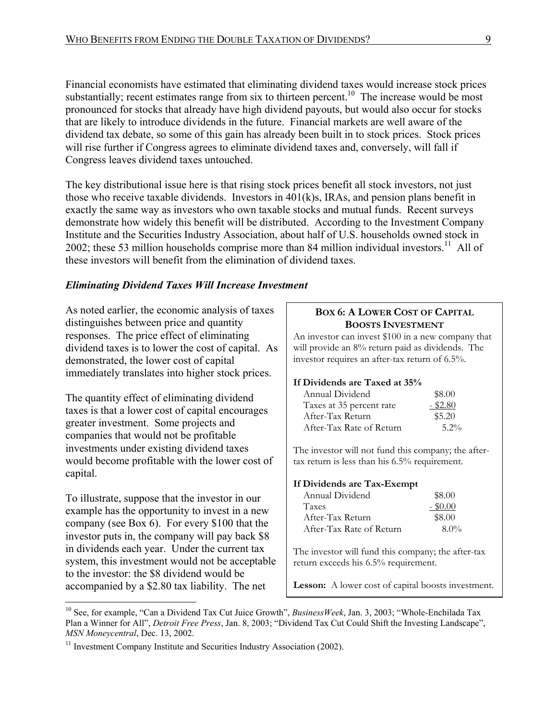Financial economists have estimated that eliminating dividend taxes would increase stock prices substantially; recent estimates range from six to thirteen percent.<sup>10</sup> The increase would be most pronounced for stocks that already have high dividend payouts, but would also occur for stocks that are likely to introduce dividends in the future. Financial markets are well aware of the dividend tax debate, so some of this gain has already been built in to stock prices. Stock prices will rise further if Congress agrees to eliminate dividend taxes and, conversely, will fall if Congress leaves dividend taxes untouched.

The key distributional issue here is that rising stock prices benefit all stock investors, not just those who receive taxable dividends. Investors in 401(k)s, IRAs, and pension plans benefit in exactly the same way as investors who own taxable stocks and mutual funds. Recent surveys demonstrate how widely this benefit will be distributed. According to the Investment Company Institute and the Securities Industry Association, about half of U.S. households owned stock in 2002; these 53 million households comprise more than 84 million individual investors.<sup>11</sup> All of these investors will benefit from the elimination of dividend taxes.

#### *Eliminating Dividend Taxes Will Increase Investment*

As noted earlier, the economic analysis of taxes distinguishes between price and quantity responses. The price effect of eliminating dividend taxes is to lower the cost of capital. As demonstrated, the lower cost of capital immediately translates into higher stock prices.

The quantity effect of eliminating dividend taxes is that a lower cost of capital encourages greater investment. Some projects and companies that would not be profitable investments under existing dividend taxes would become profitable with the lower cost of capital.

To illustrate, suppose that the investor in our example has the opportunity to invest in a new company (see Box 6). For every \$100 that the investor puts in, the company will pay back \$8 in dividends each year. Under the current tax system, this investment would not be acceptable to the investor: the \$8 dividend would be accompanied by a \$2.80 tax liability. The net

1

#### **BOX 6: A LOWER COST OF CAPITAL BOOSTS INVESTMENT**

An investor can invest \$100 in a new company that will provide an 8% return paid as dividends. The investor requires an after-tax return of 6.5%.

#### **If Dividends are Taxed at 35%**

| Annual Dividend          | \$8.00     |
|--------------------------|------------|
| Taxes at 35 percent rate | $-$ \$2.80 |
| After-Tax Return         | \$5.20     |
| After-Tax Rate of Return | $5.2\%$    |

The investor will not fund this company; the aftertax return is less than his 6.5% requirement.

#### **If Dividends are Tax-Exempt**

| Annual Dividend          | \$8.00     |
|--------------------------|------------|
| <b>Taxes</b>             | $-$ \$0.00 |
| After-Tax Return         | \$8.00     |
| After-Tax Rate of Return | $8.0\%$    |

The investor will fund this company; the after-tax return exceeds his 6.5% requirement.

**Lesson:** A lower cost of capital boosts investment.

<sup>10</sup> See, for example, "Can a Dividend Tax Cut Juice Growth", *BusinessWeek*, Jan. 3, 2003; "Whole-Enchilada Tax Plan a Winner for All", *Detroit Free Press*, Jan. 8, 2003; "Dividend Tax Cut Could Shift the Investing Landscape",

<sup>&</sup>lt;sup>11</sup> Investment Company Institute and Securities Industry Association (2002).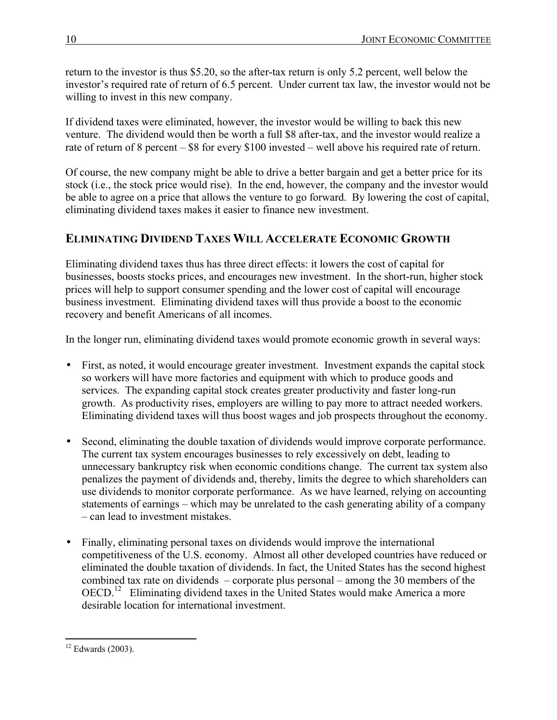return to the investor is thus \$5.20, so the after-tax return is only 5.2 percent, well below the investor's required rate of return of 6.5 percent. Under current tax law, the investor would not be willing to invest in this new company.

If dividend taxes were eliminated, however, the investor would be willing to back this new venture. The dividend would then be worth a full \$8 after-tax, and the investor would realize a rate of return of 8 percent – \$8 for every \$100 invested – well above his required rate of return.

Of course, the new company might be able to drive a better bargain and get a better price for its stock (i.e., the stock price would rise). In the end, however, the company and the investor would be able to agree on a price that allows the venture to go forward. By lowering the cost of capital, eliminating dividend taxes makes it easier to finance new investment.

## **ELIMINATING DIVIDEND TAXES WILL ACCELERATE ECONOMIC GROWTH**

Eliminating dividend taxes thus has three direct effects: it lowers the cost of capital for businesses, boosts stocks prices, and encourages new investment. In the short-run, higher stock prices will help to support consumer spending and the lower cost of capital will encourage business investment. Eliminating dividend taxes will thus provide a boost to the economic recovery and benefit Americans of all incomes.

In the longer run, eliminating dividend taxes would promote economic growth in several ways:

- First, as noted, it would encourage greater investment. Investment expands the capital stock so workers will have more factories and equipment with which to produce goods and services. The expanding capital stock creates greater productivity and faster long-run growth. As productivity rises, employers are willing to pay more to attract needed workers. Eliminating dividend taxes will thus boost wages and job prospects throughout the economy.
- Second, eliminating the double taxation of dividends would improve corporate performance. The current tax system encourages businesses to rely excessively on debt, leading to unnecessary bankruptcy risk when economic conditions change. The current tax system also penalizes the payment of dividends and, thereby, limits the degree to which shareholders can use dividends to monitor corporate performance. As we have learned, relying on accounting statements of earnings – which may be unrelated to the cash generating ability of a company – can lead to investment mistakes.
- Finally, eliminating personal taxes on dividends would improve the international competitiveness of the U.S. economy. Almost all other developed countries have reduced or eliminated the double taxation of dividends. In fact, the United States has the second highest combined tax rate on dividends – corporate plus personal – among the 30 members of the OECD.<sup>12</sup> Eliminating dividend taxes in the United States would make America a more desirable location for international investment.

<sup>1</sup>  $12$  Edwards (2003).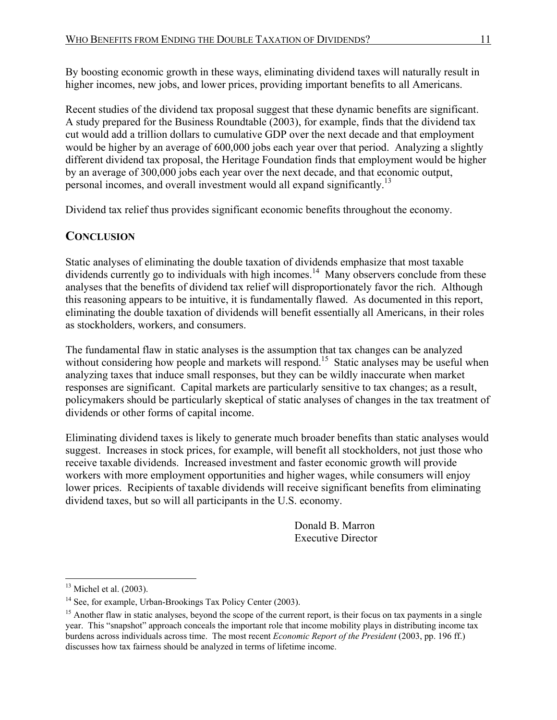By boosting economic growth in these ways, eliminating dividend taxes will naturally result in higher incomes, new jobs, and lower prices, providing important benefits to all Americans.

Recent studies of the dividend tax proposal suggest that these dynamic benefits are significant. A study prepared for the Business Roundtable (2003), for example, finds that the dividend tax cut would add a trillion dollars to cumulative GDP over the next decade and that employment would be higher by an average of 600,000 jobs each year over that period. Analyzing a slightly different dividend tax proposal, the Heritage Foundation finds that employment would be higher by an average of 300,000 jobs each year over the next decade, and that economic output, personal incomes, and overall investment would all expand significantly.<sup>13</sup>

Dividend tax relief thus provides significant economic benefits throughout the economy.

# **CONCLUSION**

Static analyses of eliminating the double taxation of dividends emphasize that most taxable dividends currently go to individuals with high incomes.<sup>14</sup> Many observers conclude from these analyses that the benefits of dividend tax relief will disproportionately favor the rich. Although this reasoning appears to be intuitive, it is fundamentally flawed. As documented in this report, eliminating the double taxation of dividends will benefit essentially all Americans, in their roles as stockholders, workers, and consumers.

The fundamental flaw in static analyses is the assumption that tax changes can be analyzed without considering how people and markets will respond.<sup>15</sup> Static analyses may be useful when analyzing taxes that induce small responses, but they can be wildly inaccurate when market responses are significant. Capital markets are particularly sensitive to tax changes; as a result, policymakers should be particularly skeptical of static analyses of changes in the tax treatment of dividends or other forms of capital income.

Eliminating dividend taxes is likely to generate much broader benefits than static analyses would suggest. Increases in stock prices, for example, will benefit all stockholders, not just those who receive taxable dividends. Increased investment and faster economic growth will provide workers with more employment opportunities and higher wages, while consumers will enjoy lower prices. Recipients of taxable dividends will receive significant benefits from eliminating dividend taxes, but so will all participants in the U.S. economy.

> Donald B. Marron Executive Director

 $13$  Michel et al. (2003).

<sup>&</sup>lt;sup>14</sup> See, for example, Urban-Brookings Tax Policy Center (2003).

<sup>&</sup>lt;sup>15</sup> Another flaw in static analyses, beyond the scope of the current report, is their focus on tax payments in a single year. This "snapshot" approach conceals the important role that income mobility plays in distributing income tax burdens across individuals across time. The most recent *Economic Report of the President* (2003, pp. 196 ff.) discusses how tax fairness should be analyzed in terms of lifetime income.